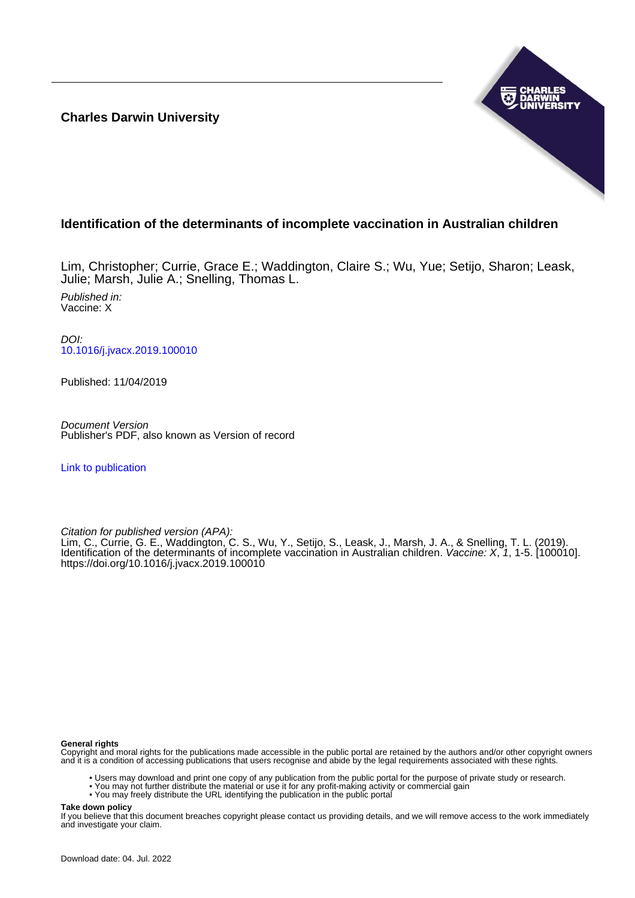**Charles Darwin University**



# **Identification of the determinants of incomplete vaccination in Australian children**

Lim, Christopher; Currie, Grace E.; Waddington, Claire S.; Wu, Yue; Setijo, Sharon; Leask, Julie; Marsh, Julie A.; Snelling, Thomas L.

Published in: Vaccine: X

DOI: [10.1016/j.jvacx.2019.100010](https://doi.org/10.1016/j.jvacx.2019.100010)

Published: 11/04/2019

Document Version Publisher's PDF, also known as Version of record

[Link to publication](https://researchers.cdu.edu.au/en/publications/f56148e7-495f-4e51-88dd-af6bbfc216e6)

Citation for published version (APA):

Lim, C., Currie, G. E., Waddington, C. S., Wu, Y., Setijo, S., Leask, J., Marsh, J. A., & Snelling, T. L. (2019). Identification of the determinants of incomplete vaccination in Australian children. Vaccine: X, 1, 1-5. [100010]. <https://doi.org/10.1016/j.jvacx.2019.100010>

# **General rights**

Copyright and moral rights for the publications made accessible in the public portal are retained by the authors and/or other copyright owners and it is a condition of accessing publications that users recognise and abide by the legal requirements associated with these rights.

- Users may download and print one copy of any publication from the public portal for the purpose of private study or research.
- You may not further distribute the material or use it for any profit-making activity or commercial gain
- You may freely distribute the URL identifying the publication in the public portal

**Take down policy**

If you believe that this document breaches copyright please contact us providing details, and we will remove access to the work immediately and investigate your claim.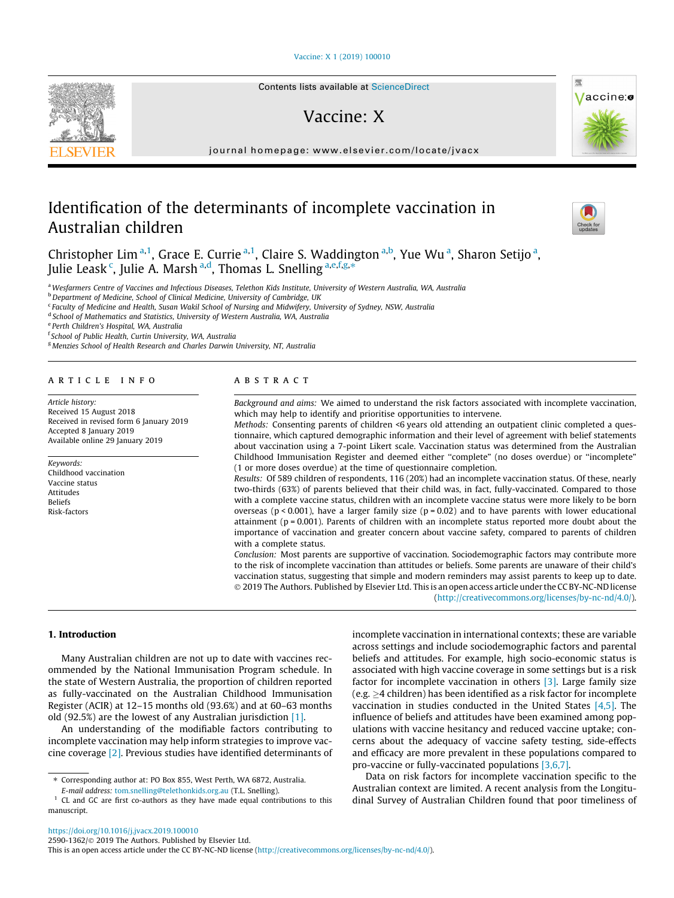### [Vaccine: X 1 \(2019\) 100010](https://doi.org/10.1016/j.jvacx.2019.100010)

# Vaccine: X

journal homepage: [www.elsevier.com/locate/jvacx](http://www.elsevier.com/locate/jvacx)

# Identification of the determinants of incomplete vaccination in Australian children



Vaccine:

Christopher Lim<sup>a,1</sup>, Grace E. Currie<sup>a,1</sup>, Claire S. Waddington<sup>a,b</sup>, Yue Wu<sup>a</sup>, Sharon Setijo<sup>a</sup>, Julie Leask <sup>c</sup>, Julie A. Marsh <sup>a,d</sup>, Thomas L. Snelling <sup>a,e,f,g,</sup>\*

<sup>a</sup> Wesfarmers Centre of Vaccines and Infectious Diseases, Telethon Kids Institute, University of Western Australia, WA, Australia

b Department of Medicine, School of Clinical Medicine, University of Cambridge, UK

<sup>c</sup> Faculty of Medicine and Health, Susan Wakil School of Nursing and Midwifery, University of Sydney, NSW, Australia

<sup>d</sup> School of Mathematics and Statistics, University of Western Australia, WA, Australia

<sup>e</sup> Perth Children's Hospital, WA, Australia

f School of Public Health, Curtin University, WA, Australia

<sup>g</sup> Menzies School of Health Research and Charles Darwin University, NT, Australia

#### article info

Article history: Received 15 August 2018 Received in revised form 6 January 2019 Accepted 8 January 2019 Available online 29 January 2019

#### Keywords: Childhood vaccination Vaccine status Attitudes Beliefs Risk-factors

# ABSTRACT

Background and aims: We aimed to understand the risk factors associated with incomplete vaccination, which may help to identify and prioritise opportunities to intervene.

Methods: Consenting parents of children <6 years old attending an outpatient clinic completed a questionnaire, which captured demographic information and their level of agreement with belief statements about vaccination using a 7-point Likert scale. Vaccination status was determined from the Australian Childhood Immunisation Register and deemed either ''complete" (no doses overdue) or ''incomplete" (1 or more doses overdue) at the time of questionnaire completion.

Results: Of 589 children of respondents, 116 (20%) had an incomplete vaccination status. Of these, nearly two-thirds (63%) of parents believed that their child was, in fact, fully-vaccinated. Compared to those with a complete vaccine status, children with an incomplete vaccine status were more likely to be born overseas ( $p < 0.001$ ), have a larger family size ( $p = 0.02$ ) and to have parents with lower educational attainment ( $p = 0.001$ ). Parents of children with an incomplete status reported more doubt about the importance of vaccination and greater concern about vaccine safety, compared to parents of children with a complete status.

Conclusion: Most parents are supportive of vaccination. Sociodemographic factors may contribute more to the risk of incomplete vaccination than attitudes or beliefs. Some parents are unaware of their child's vaccination status, suggesting that simple and modern reminders may assist parents to keep up to date. 2019 The Authors. Published by Elsevier Ltd. This is an open access article under the CC BY-NC-ND license (<http://creativecommons.org/licenses/by-nc-nd/4.0/>).

#### 1. Introduction

Many Australian children are not up to date with vaccines recommended by the National Immunisation Program schedule. In the state of Western Australia, the proportion of children reported as fully-vaccinated on the Australian Childhood Immunisation Register (ACIR) at 12–15 months old (93.6%) and at 60–63 months old (92.5%) are the lowest of any Australian jurisdiction [\[1\]](#page-5-0).

An understanding of the modifiable factors contributing to incomplete vaccination may help inform strategies to improve vaccine coverage [\[2\].](#page-5-0) Previous studies have identified determinants of incomplete vaccination in international contexts; these are variable across settings and include sociodemographic factors and parental beliefs and attitudes. For example, high socio-economic status is associated with high vaccine coverage in some settings but is a risk factor for incomplete vaccination in others [\[3\].](#page-5-0) Large family size (e.g.  $\geq$ 4 children) has been identified as a risk factor for incomplete vaccination in studies conducted in the United States  $[4,5]$ . The influence of beliefs and attitudes have been examined among populations with vaccine hesitancy and reduced vaccine uptake; concerns about the adequacy of vaccine safety testing, side-effects and efficacy are more prevalent in these populations compared to pro-vaccine or fully-vaccinated populations [\[3,6,7\].](#page-5-0)

Data on risk factors for incomplete vaccination specific to the Australian context are limited. A recent analysis from the Longitudinal Survey of Australian Children found that poor timeliness of

<sup>⇑</sup> Corresponding author at: PO Box 855, West Perth, WA 6872, Australia.

E-mail address: [tom.snelling@telethonkids.org.au](mailto:tom.snelling@telethonkids.org.au) (T.L. Snelling).

<sup>&</sup>lt;sup>1</sup> CL and GC are first co-authors as they have made equal contributions to this manuscript.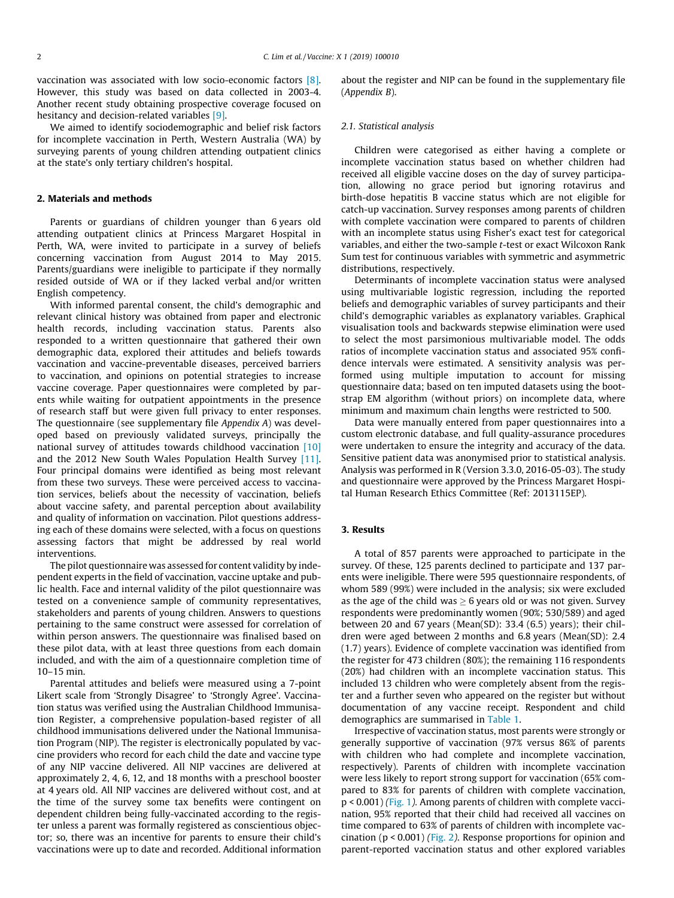vaccination was associated with low socio-economic factors [\[8\].](#page-5-0) However, this study was based on data collected in 2003-4. Another recent study obtaining prospective coverage focused on hesitancy and decision-related variables [\[9\].](#page-5-0)

We aimed to identify sociodemographic and belief risk factors for incomplete vaccination in Perth, Western Australia (WA) by surveying parents of young children attending outpatient clinics at the state's only tertiary children's hospital.

# 2. Materials and methods

Parents or guardians of children younger than 6 years old attending outpatient clinics at Princess Margaret Hospital in Perth, WA, were invited to participate in a survey of beliefs concerning vaccination from August 2014 to May 2015. Parents/guardians were ineligible to participate if they normally resided outside of WA or if they lacked verbal and/or written English competency.

With informed parental consent, the child's demographic and relevant clinical history was obtained from paper and electronic health records, including vaccination status. Parents also responded to a written questionnaire that gathered their own demographic data, explored their attitudes and beliefs towards vaccination and vaccine-preventable diseases, perceived barriers to vaccination, and opinions on potential strategies to increase vaccine coverage. Paper questionnaires were completed by parents while waiting for outpatient appointments in the presence of research staff but were given full privacy to enter responses. The questionnaire (see supplementary file Appendix A) was developed based on previously validated surveys, principally the national survey of attitudes towards childhood vaccination [\[10\]](#page-5-0) and the 2012 New South Wales Population Health Survey [\[11\].](#page-5-0) Four principal domains were identified as being most relevant from these two surveys. These were perceived access to vaccination services, beliefs about the necessity of vaccination, beliefs about vaccine safety, and parental perception about availability and quality of information on vaccination. Pilot questions addressing each of these domains were selected, with a focus on questions assessing factors that might be addressed by real world interventions.

The pilot questionnaire was assessed for content validity by independent experts in the field of vaccination, vaccine uptake and public health. Face and internal validity of the pilot questionnaire was tested on a convenience sample of community representatives, stakeholders and parents of young children. Answers to questions pertaining to the same construct were assessed for correlation of within person answers. The questionnaire was finalised based on these pilot data, with at least three questions from each domain included, and with the aim of a questionnaire completion time of 10–15 min.

Parental attitudes and beliefs were measured using a 7-point Likert scale from 'Strongly Disagree' to 'Strongly Agree'. Vaccination status was verified using the Australian Childhood Immunisation Register, a comprehensive population-based register of all childhood immunisations delivered under the National Immunisation Program (NIP). The register is electronically populated by vaccine providers who record for each child the date and vaccine type of any NIP vaccine delivered. All NIP vaccines are delivered at approximately 2, 4, 6, 12, and 18 months with a preschool booster at 4 years old. All NIP vaccines are delivered without cost, and at the time of the survey some tax benefits were contingent on dependent children being fully-vaccinated according to the register unless a parent was formally registered as conscientious objector; so, there was an incentive for parents to ensure their child's vaccinations were up to date and recorded. Additional information

about the register and NIP can be found in the supplementary file (Appendix B).

## 2.1. Statistical analysis

Children were categorised as either having a complete or incomplete vaccination status based on whether children had received all eligible vaccine doses on the day of survey participation, allowing no grace period but ignoring rotavirus and birth-dose hepatitis B vaccine status which are not eligible for catch-up vaccination. Survey responses among parents of children with complete vaccination were compared to parents of children with an incomplete status using Fisher's exact test for categorical variables, and either the two-sample t-test or exact Wilcoxon Rank Sum test for continuous variables with symmetric and asymmetric distributions, respectively.

Determinants of incomplete vaccination status were analysed using multivariable logistic regression, including the reported beliefs and demographic variables of survey participants and their child's demographic variables as explanatory variables. Graphical visualisation tools and backwards stepwise elimination were used to select the most parsimonious multivariable model. The odds ratios of incomplete vaccination status and associated 95% confidence intervals were estimated. A sensitivity analysis was performed using multiple imputation to account for missing questionnaire data; based on ten imputed datasets using the bootstrap EM algorithm (without priors) on incomplete data, where minimum and maximum chain lengths were restricted to 500.

Data were manually entered from paper questionnaires into a custom electronic database, and full quality-assurance procedures were undertaken to ensure the integrity and accuracy of the data. Sensitive patient data was anonymised prior to statistical analysis. Analysis was performed in R (Version 3.3.0, 2016-05-03). The study and questionnaire were approved by the Princess Margaret Hospital Human Research Ethics Committee (Ref: 2013115EP).

#### 3. Results

A total of 857 parents were approached to participate in the survey. Of these, 125 parents declined to participate and 137 parents were ineligible. There were 595 questionnaire respondents, of whom 589 (99%) were included in the analysis; six were excluded as the age of the child was  $\geq 6$  years old or was not given. Survey respondents were predominantly women (90%; 530/589) and aged between 20 and 67 years (Mean(SD): 33.4 (6.5) years); their children were aged between 2 months and 6.8 years (Mean(SD): 2.4 (1.7) years). Evidence of complete vaccination was identified from the register for 473 children (80%); the remaining 116 respondents (20%) had children with an incomplete vaccination status. This included 13 children who were completely absent from the register and a further seven who appeared on the register but without documentation of any vaccine receipt. Respondent and child demographics are summarised in [Table 1.](#page-3-0)

Irrespective of vaccination status, most parents were strongly or generally supportive of vaccination (97% versus 86% of parents with children who had complete and incomplete vaccination, respectively). Parents of children with incomplete vaccination were less likely to report strong support for vaccination (65% compared to 83% for parents of children with complete vaccination, p < 0.001) ([Fig. 1](#page-3-0)). Among parents of children with complete vaccination, 95% reported that their child had received all vaccines on time compared to 63% of parents of children with incomplete vaccination ( $p < 0.001$ ) ([Fig. 2](#page-3-0)). Response proportions for opinion and parent-reported vaccination status and other explored variables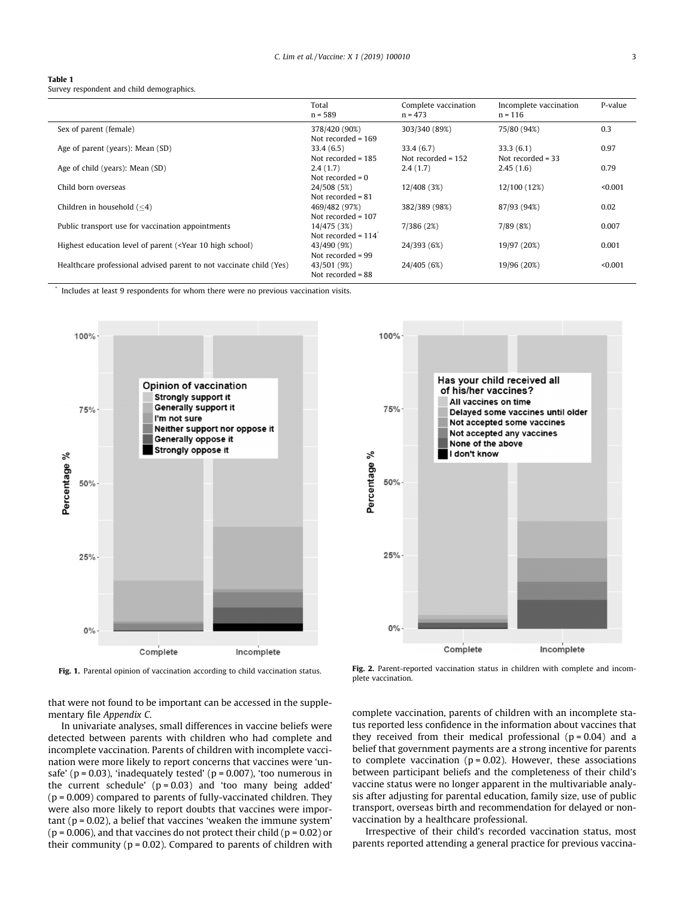<span id="page-3-0"></span>

| <b>Table 1</b>                            |  |
|-------------------------------------------|--|
| Survey respondent and child demographics. |  |

|                                                                                                                                                             | Total<br>$n = 589$   | Complete vaccination<br>$n = 473$ | Incomplete vaccination<br>$n = 116$ | P-value |
|-------------------------------------------------------------------------------------------------------------------------------------------------------------|----------------------|-----------------------------------|-------------------------------------|---------|
| Sex of parent (female)                                                                                                                                      | 378/420 (90%)        | 303/340 (89%)                     | 75/80 (94%)                         | 0.3     |
|                                                                                                                                                             | Not recorded $= 169$ |                                   |                                     |         |
| Age of parent (years): Mean (SD)                                                                                                                            | 33.4(6.5)            | 33.4(6.7)                         | 33.3(6.1)                           | 0.97    |
|                                                                                                                                                             | Not recorded $= 185$ | Not recorded $= 152$              | Not recorded $=$ 33                 |         |
| Age of child (years): Mean (SD)                                                                                                                             | 2.4(1.7)             | 2.4(1.7)                          | 2.45(1.6)                           | 0.79    |
|                                                                                                                                                             | Not recorded $= 0$   |                                   |                                     |         |
| Child born overseas                                                                                                                                         | 24/508 (5%)          | 12/408 (3%)                       | 12/100 (12%)                        | < 0.001 |
|                                                                                                                                                             | Not recorded $= 81$  |                                   |                                     |         |
| Children in household $(< 4)$                                                                                                                               | 469/482 (97%)        | 382/389 (98%)                     | 87/93 (94%)                         | 0.02    |
|                                                                                                                                                             | Not recorded $= 107$ |                                   |                                     |         |
| Public transport use for vaccination appointments                                                                                                           | 14/475 (3%)          | 7/386 (2%)                        | 7/89(8%)                            | 0.007   |
|                                                                                                                                                             | Not recorded $= 114$ |                                   |                                     |         |
| Highest education level of parent ( <year 10="" high="" school)<="" td=""><td>43/490 (9%)</td><td>24/393 (6%)</td><td>19/97 (20%)</td><td>0.001</td></year> | 43/490 (9%)          | 24/393 (6%)                       | 19/97 (20%)                         | 0.001   |
|                                                                                                                                                             | Not recorded $= 99$  |                                   |                                     |         |
| Healthcare professional advised parent to not vaccinate child (Yes)                                                                                         | 43/501 (9%)          | 24/405 (6%)                       | 19/96 (20%)                         | < 0.001 |
|                                                                                                                                                             | Not recorded $= 88$  |                                   |                                     |         |

Includes at least 9 respondents for whom there were no previous vaccination visits.





Fig. 1. Parental opinion of vaccination according to child vaccination status. Fig. 2. Parent-reported vaccination status in children with complete and incomplete vaccination.

that were not found to be important can be accessed in the supplementary file Appendix C.

In univariate analyses, small differences in vaccine beliefs were detected between parents with children who had complete and incomplete vaccination. Parents of children with incomplete vaccination were more likely to report concerns that vaccines were 'unsafe' ( $p = 0.03$ ), 'inadequately tested' ( $p = 0.007$ ), 'too numerous in the current schedule'  $(p = 0.03)$  and 'too many being added'  $(p = 0.009)$  compared to parents of fully-vaccinated children. They were also more likely to report doubts that vaccines were impor $tant (p = 0.02)$ , a belief that vaccines 'weaken the immune system' ( $p = 0.006$ ), and that vaccines do not protect their child ( $p = 0.02$ ) or their community ( $p = 0.02$ ). Compared to parents of children with complete vaccination, parents of children with an incomplete status reported less confidence in the information about vaccines that they received from their medical professional  $(p = 0.04)$  and a belief that government payments are a strong incentive for parents to complete vaccination  $(p = 0.02)$ . However, these associations between participant beliefs and the completeness of their child's vaccine status were no longer apparent in the multivariable analysis after adjusting for parental education, family size, use of public transport, overseas birth and recommendation for delayed or nonvaccination by a healthcare professional.

Irrespective of their child's recorded vaccination status, most parents reported attending a general practice for previous vaccina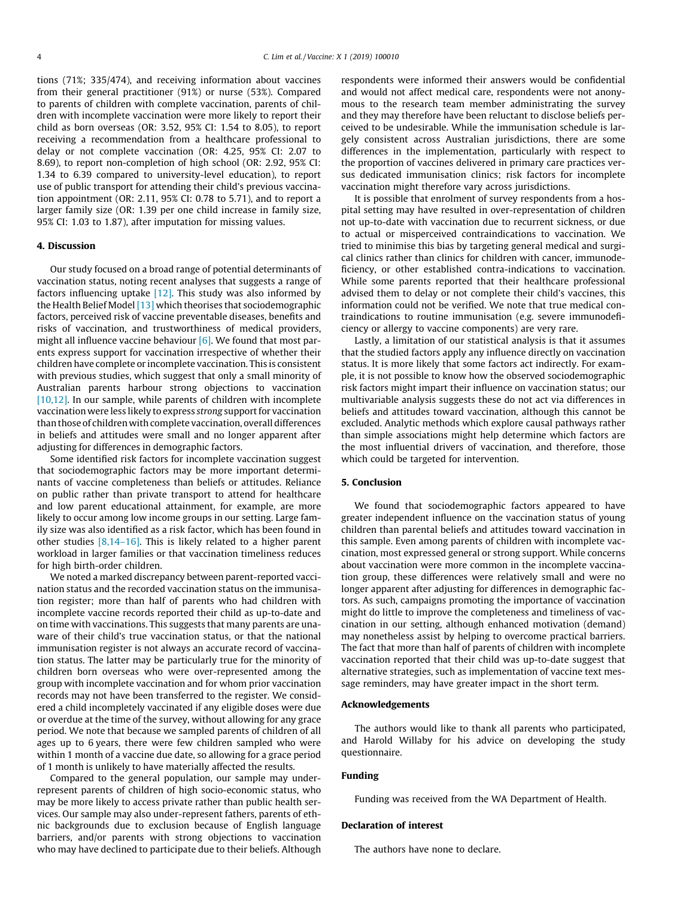tions (71%; 335/474), and receiving information about vaccines from their general practitioner (91%) or nurse (53%). Compared to parents of children with complete vaccination, parents of children with incomplete vaccination were more likely to report their child as born overseas (OR: 3.52, 95% CI: 1.54 to 8.05), to report receiving a recommendation from a healthcare professional to delay or not complete vaccination (OR: 4.25, 95% CI: 2.07 to 8.69), to report non-completion of high school (OR: 2.92, 95% CI: 1.34 to 6.39 compared to university-level education), to report use of public transport for attending their child's previous vaccination appointment (OR: 2.11, 95% CI: 0.78 to 5.71), and to report a larger family size (OR: 1.39 per one child increase in family size, 95% CI: 1.03 to 1.87), after imputation for missing values.

#### 4. Discussion

Our study focused on a broad range of potential determinants of vaccination status, noting recent analyses that suggests a range of factors influencing uptake  $[12]$ . This study was also informed by the Health Belief Model [\[13\]](#page-5-0) which theorises that sociodemographic factors, perceived risk of vaccine preventable diseases, benefits and risks of vaccination, and trustworthiness of medical providers, might all influence vaccine behaviour  $[6]$ . We found that most parents express support for vaccination irrespective of whether their children have complete or incomplete vaccination. This is consistent with previous studies, which suggest that only a small minority of Australian parents harbour strong objections to vaccination [\[10,12\].](#page-5-0) In our sample, while parents of children with incomplete vaccination were less likely to express strong support for vaccination than those of children with complete vaccination, overall differences in beliefs and attitudes were small and no longer apparent after adjusting for differences in demographic factors.

Some identified risk factors for incomplete vaccination suggest that sociodemographic factors may be more important determinants of vaccine completeness than beliefs or attitudes. Reliance on public rather than private transport to attend for healthcare and low parent educational attainment, for example, are more likely to occur among low income groups in our setting. Large family size was also identified as a risk factor, which has been found in other studies [\[8,14–16\]](#page-5-0). This is likely related to a higher parent workload in larger families or that vaccination timeliness reduces for high birth-order children.

We noted a marked discrepancy between parent-reported vaccination status and the recorded vaccination status on the immunisation register; more than half of parents who had children with incomplete vaccine records reported their child as up-to-date and on time with vaccinations. This suggests that many parents are unaware of their child's true vaccination status, or that the national immunisation register is not always an accurate record of vaccination status. The latter may be particularly true for the minority of children born overseas who were over-represented among the group with incomplete vaccination and for whom prior vaccination records may not have been transferred to the register. We considered a child incompletely vaccinated if any eligible doses were due or overdue at the time of the survey, without allowing for any grace period. We note that because we sampled parents of children of all ages up to 6 years, there were few children sampled who were within 1 month of a vaccine due date, so allowing for a grace period of 1 month is unlikely to have materially affected the results.

Compared to the general population, our sample may underrepresent parents of children of high socio-economic status, who may be more likely to access private rather than public health services. Our sample may also under-represent fathers, parents of ethnic backgrounds due to exclusion because of English language barriers, and/or parents with strong objections to vaccination who may have declined to participate due to their beliefs. Although respondents were informed their answers would be confidential and would not affect medical care, respondents were not anonymous to the research team member administrating the survey and they may therefore have been reluctant to disclose beliefs perceived to be undesirable. While the immunisation schedule is largely consistent across Australian jurisdictions, there are some differences in the implementation, particularly with respect to the proportion of vaccines delivered in primary care practices versus dedicated immunisation clinics; risk factors for incomplete vaccination might therefore vary across jurisdictions.

It is possible that enrolment of survey respondents from a hospital setting may have resulted in over-representation of children not up-to-date with vaccination due to recurrent sickness, or due to actual or misperceived contraindications to vaccination. We tried to minimise this bias by targeting general medical and surgical clinics rather than clinics for children with cancer, immunodeficiency, or other established contra-indications to vaccination. While some parents reported that their healthcare professional advised them to delay or not complete their child's vaccines, this information could not be verified. We note that true medical contraindications to routine immunisation (e.g. severe immunodeficiency or allergy to vaccine components) are very rare.

Lastly, a limitation of our statistical analysis is that it assumes that the studied factors apply any influence directly on vaccination status. It is more likely that some factors act indirectly. For example, it is not possible to know how the observed sociodemographic risk factors might impart their influence on vaccination status; our multivariable analysis suggests these do not act via differences in beliefs and attitudes toward vaccination, although this cannot be excluded. Analytic methods which explore causal pathways rather than simple associations might help determine which factors are the most influential drivers of vaccination, and therefore, those which could be targeted for intervention.

## 5. Conclusion

We found that sociodemographic factors appeared to have greater independent influence on the vaccination status of young children than parental beliefs and attitudes toward vaccination in this sample. Even among parents of children with incomplete vaccination, most expressed general or strong support. While concerns about vaccination were more common in the incomplete vaccination group, these differences were relatively small and were no longer apparent after adjusting for differences in demographic factors. As such, campaigns promoting the importance of vaccination might do little to improve the completeness and timeliness of vaccination in our setting, although enhanced motivation (demand) may nonetheless assist by helping to overcome practical barriers. The fact that more than half of parents of children with incomplete vaccination reported that their child was up-to-date suggest that alternative strategies, such as implementation of vaccine text message reminders, may have greater impact in the short term.

#### Acknowledgements

The authors would like to thank all parents who participated, and Harold Willaby for his advice on developing the study questionnaire.

#### Funding

Funding was received from the WA Department of Health.

# Declaration of interest

The authors have none to declare.